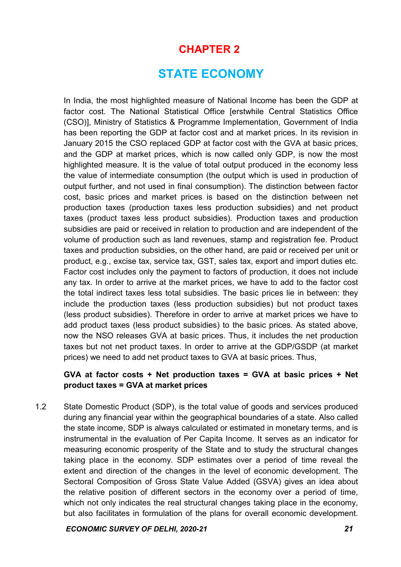# CHAPTER 2

# STATE ECONOMY

In India, the most highlighted measure of National Income has been the GDP at factor cost. The National Statistical Office [erstwhile Central Statistics Office (CSO)], Ministry of Statistics & Programme Implementation, Government of India has been reporting the GDP at factor cost and at market prices. In its revision in January 2015 the CSO replaced GDP at factor cost with the GVA at basic prices, and the GDP at market prices, which is now called only GDP, is now the most highlighted measure. It is the value of total output produced in the economy less the value of intermediate consumption (the output which is used in production of output further, and not used in final consumption). The distinction between factor cost, basic prices and market prices is based on the distinction between net production taxes (production taxes less production subsidies) and net product taxes (product taxes less product subsidies). Production taxes and production subsidies are paid or received in relation to production and are independent of the volume of production such as land revenues, stamp and registration fee. Product taxes and production subsidies, on the other hand, are paid or received per unit or product, e.g., excise tax, service tax, GST, sales tax, export and import duties etc. Factor cost includes only the payment to factors of production, it does not include any tax. In order to arrive at the market prices, we have to add to the factor cost the total indirect taxes less total subsidies. The basic prices lie in between: they include the production taxes (less production subsidies) but not product taxes (less product subsidies). Therefore in order to arrive at market prices we have to add product taxes (less product subsidies) to the basic prices. As stated above, now the NSO releases GVA at basic prices. Thus, it includes the net production taxes but not net product taxes. In order to arrive at the GDP/GSDP (at market prices) we need to add net product taxes to GVA at basic prices. Thus,

# GVA at factor costs + Net production taxes = GVA at basic prices + Net product taxes = GVA at market prices

1.2 State Domestic Product (SDP), is the total value of goods and services produced during any financial year within the geographical boundaries of a state. Also called the state income, SDP is always calculated or estimated in monetary terms, and is instrumental in the evaluation of Per Capita Income. It serves as an indicator for measuring economic prosperity of the State and to study the structural changes taking place in the economy. SDP estimates over a period of time reveal the extent and direction of the changes in the level of economic development. The Sectoral Composition of Gross State Value Added (GSVA) gives an idea about the relative position of different sectors in the economy over a period of time, which not only indicates the real structural changes taking place in the economy, but also facilitates in formulation of the plans for overall economic development.

ECONOMIC SURVEY OF DELHI, 2020-21 21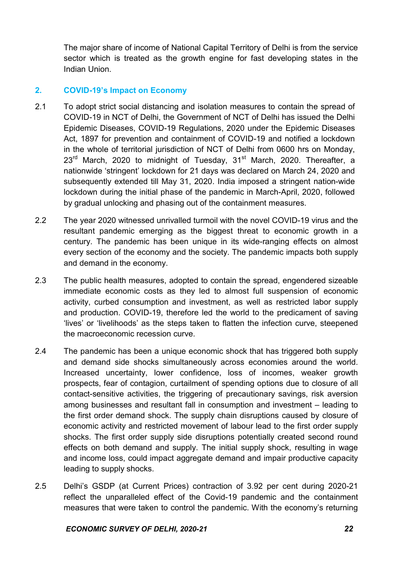The major share of income of National Capital Territory of Delhi is from the service sector which is treated as the growth engine for fast developing states in the Indian Union.

# 2. COVID-19's Impact on Economy

- 2.1 To adopt strict social distancing and isolation measures to contain the spread of COVID-19 in NCT of Delhi, the Government of NCT of Delhi has issued the Delhi Epidemic Diseases, COVID-19 Regulations, 2020 under the Epidemic Diseases Act, 1897 for prevention and containment of COVID-19 and notified a lockdown in the whole of territorial jurisdiction of NCT of Delhi from 0600 hrs on Monday, 23<sup>rd</sup> March, 2020 to midnight of Tuesday, 31<sup>st</sup> March, 2020. Thereafter, a nationwide 'stringent' lockdown for 21 days was declared on March 24, 2020 and subsequently extended till May 31, 2020. India imposed a stringent nation-wide lockdown during the initial phase of the pandemic in March-April, 2020, followed by gradual unlocking and phasing out of the containment measures.
- 2.2 The year 2020 witnessed unrivalled turmoil with the novel COVID-19 virus and the resultant pandemic emerging as the biggest threat to economic growth in a century. The pandemic has been unique in its wide-ranging effects on almost every section of the economy and the society. The pandemic impacts both supply and demand in the economy.
- 2.3 The public health measures, adopted to contain the spread, engendered sizeable immediate economic costs as they led to almost full suspension of economic activity, curbed consumption and investment, as well as restricted labor supply and production. COVID-19, therefore led the world to the predicament of saving 'lives' or 'livelihoods' as the steps taken to flatten the infection curve, steepened the macroeconomic recession curve.
- 2.4 The pandemic has been a unique economic shock that has triggered both supply and demand side shocks simultaneously across economies around the world. Increased uncertainty, lower confidence, loss of incomes, weaker growth prospects, fear of contagion, curtailment of spending options due to closure of all contact-sensitive activities, the triggering of precautionary savings, risk aversion among businesses and resultant fall in consumption and investment – leading to the first order demand shock. The supply chain disruptions caused by closure of economic activity and restricted movement of labour lead to the first order supply shocks. The first order supply side disruptions potentially created second round effects on both demand and supply. The initial supply shock, resulting in wage and income loss, could impact aggregate demand and impair productive capacity leading to supply shocks.
- 2.5 Delhi's GSDP (at Current Prices) contraction of 3.92 per cent during 2020-21 reflect the unparalleled effect of the Covid-19 pandemic and the containment measures that were taken to control the pandemic. With the economy's returning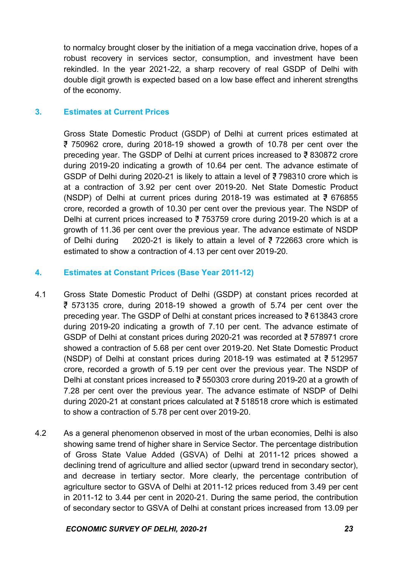to normalcy brought closer by the initiation of a mega vaccination drive, hopes of a robust recovery in services sector, consumption, and investment have been rekindled. In the year 2021-22, a sharp recovery of real GSDP of Delhi with double digit growth is expected based on a low base effect and inherent strengths of the economy.

## 3. Estimates at Current Prices

Gross State Domestic Product (GSDP) of Delhi at current prices estimated at 750962 crore, during 2018-19 showed a growth of 10.78 per cent over the preceding year. The GSDP of Delhi at current prices increased to  $\overline{z}$  830872 crore during 2019-20 indicating a growth of 10.64 per cent. The advance estimate of GSDP of Delhi during 2020-21 is likely to attain a level of  $\overline{5}$  798310 crore which is at a contraction of 3.92 per cent over 2019-20. Net State Domestic Product (NSDP) of Delhi at current prices during 2018-19 was estimated at  $\overline{5}$  676855 crore, recorded a growth of 10.30 per cent over the previous year. The NSDP of Delhi at current prices increased to  $\overline{3}$  753759 crore during 2019-20 which is at a growth of 11.36 per cent over the previous year. The advance estimate of NSDP of Delhi during 2020-21 is likely to attain a level of  $\overline{5}$  722663 crore which is estimated to show a contraction of 4.13 per cent over 2019-20.

# 4. Estimates at Constant Prices (Base Year 2011-12)

- 4.1 Gross State Domestic Product of Delhi (GSDP) at constant prices recorded at  $\overline{5}$  573135 crore, during 2018-19 showed a growth of 5.74 per cent over the preceding year. The GSDP of Delhi at constant prices increased to  $\overline{5}$  613843 crore during 2019-20 indicating a growth of 7.10 per cent. The advance estimate of GSDP of Delhi at constant prices during 2020-21 was recorded at ₹578971 crore showed a contraction of 5.68 per cent over 2019-20. Net State Domestic Product (NSDP) of Delhi at constant prices during 2018-19 was estimated at  $\overline{5}$  512957 crore, recorded a growth of 5.19 per cent over the previous year. The NSDP of Delhi at constant prices increased to  $\overline{5}$  550303 crore during 2019-20 at a growth of 7.28 per cent over the previous year. The advance estimate of NSDP of Delhi during 2020-21 at constant prices calculated at  $\overline{5}$  518518 crore which is estimated to show a contraction of 5.78 per cent over 2019-20.
- 4.2 As a general phenomenon observed in most of the urban economies, Delhi is also showing same trend of higher share in Service Sector. The percentage distribution of Gross State Value Added (GSVA) of Delhi at 2011-12 prices showed a declining trend of agriculture and allied sector (upward trend in secondary sector), and decrease in tertiary sector. More clearly, the percentage contribution of agriculture sector to GSVA of Delhi at 2011-12 prices reduced from 3.49 per cent in 2011-12 to 3.44 per cent in 2020-21. During the same period, the contribution of secondary sector to GSVA of Delhi at constant prices increased from 13.09 per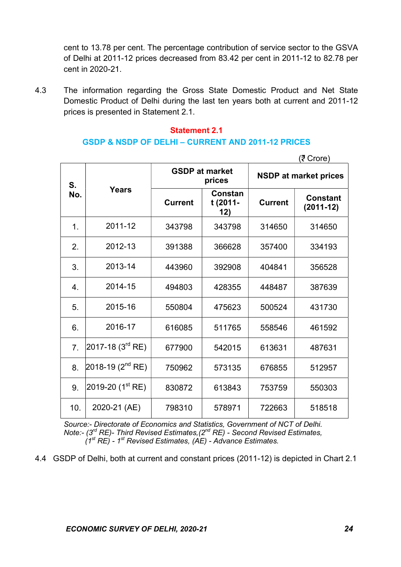cent to 13.78 per cent. The percentage contribution of service sector to the GSVA of Delhi at 2011-12 prices decreased from 83.42 per cent in 2011-12 to 82.78 per cent in 2020-21.

4.3 The information regarding the Gross State Domestic Product and Net State Domestic Product of Delhi during the last ten years both at current and 2011-12 prices is presented in Statement 2.1.

#### Statement 2.1

### GSDP & NSDP OF DELHI – CURRENT AND 2011-12 PRICES

 $(7$  Crore) S. No. Years GSDP at market prices | NSDP at market prices **Current** Constan t (2011- 12) Current Constant (2011-12) 1. 2011-12 343798 343798 314650 314650 2. 2012-13 | 391388 | 366628 | 357400 | 334193 3. 2013-14 443960 392908 404841 356528 4. | 2014-15 | 494803 | 428355 | 448487 | 387639 5. 2015-16 550804 475623 500524 431730 6. 2016-17 | 616085 | 511765 | 558546 | 461592 7.  $\begin{array}{|c|c|c|c|c|c|c|c|c|} \hline \end{array}$  677900  $\begin{array}{|c|c|c|c|c|c|} \hline \end{array}$  613631  $\begin{array}{|c|c|c|c|c|c|} \hline \end{array}$  487631 8.  $2018-19$  (2<sup>nd</sup> RE) 750962 573135 676855 512957 9.  $\sqrt{2019-20}$  (1<sup>st</sup> RE) 830872 613843 753759 550303 10. | 2020-21 (AE) | 798310 | 578971 | 722663 | 518518

 Source:- Directorate of Economics and Statistics, Government of NCT of Delhi. Note:-  $(3<sup>rd</sup> RE)$ - Third Revised Estimates,  $(2<sup>nd</sup> RE)$  - Second Revised Estimates,  $(1^{st}$  RE) - 1<sup>st</sup> Revised Estimates, (AE) - Advance Estimates.

4.4 GSDP of Delhi, both at current and constant prices (2011-12) is depicted in Chart 2.1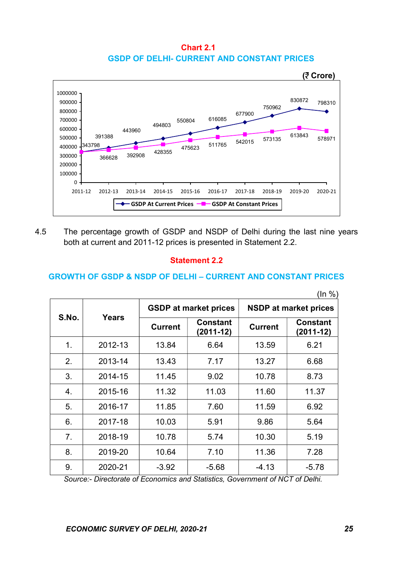Chart 2.1 GSDP OF DELHI- CURRENT AND CONSTANT PRICES



4.5 The percentage growth of GSDP and NSDP of Delhi during the last nine years both at current and 2011-12 prices is presented in Statement 2.2.

### Statement 2.2

#### GROWTH OF GSDP & NSDP OF DELHI – CURRENT AND CONSTANT PRICES

|       |              |                |                                |                              | (ln %)                         |  |
|-------|--------------|----------------|--------------------------------|------------------------------|--------------------------------|--|
| S.No. | <b>Years</b> |                | <b>GSDP at market prices</b>   | <b>NSDP at market prices</b> |                                |  |
|       |              | <b>Current</b> | <b>Constant</b><br>$(2011-12)$ | <b>Current</b>               | <b>Constant</b><br>$(2011-12)$ |  |
| 1.    | 2012-13      | 13.84          | 6.64                           | 13.59                        | 6.21                           |  |
| 2.    | 2013-14      | 13.43          | 7.17                           | 13.27                        | 6.68                           |  |
| 3.    | 2014-15      | 11.45          | 9.02                           | 10.78                        | 8.73                           |  |
| 4.    | 2015-16      | 11.32          | 11.03                          | 11.60                        | 11.37                          |  |
| 5.    | 2016-17      | 11.85          | 7.60                           | 11.59                        | 6.92                           |  |
| 6.    | 2017-18      | 10.03          | 5.91                           | 9.86                         | 5.64                           |  |
| 7.    | 2018-19      | 10.78          | 5.74                           | 10.30                        | 5.19                           |  |
| 8.    | 2019-20      | 10.64          | 7.10                           | 11.36                        | 7.28                           |  |
| 9.    | 2020-21      | $-3.92$        | $-5.68$                        | $-4.13$                      | $-5.78$                        |  |

Source:- Directorate of Economics and Statistics, Government of NCT of Delhi.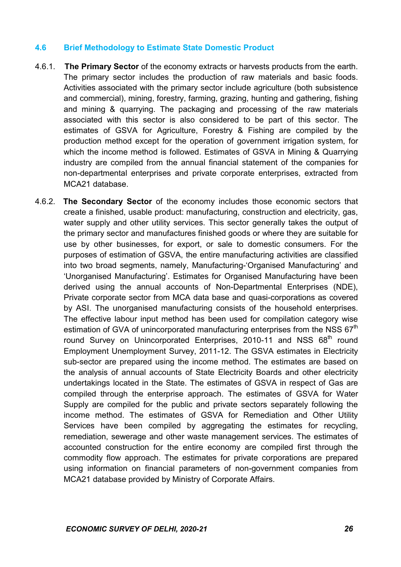## 4.6 Brief Methodology to Estimate State Domestic Product

- 4.6.1. The Primary Sector of the economy extracts or harvests products from the earth. The primary sector includes the production of raw materials and basic foods. Activities associated with the primary sector include agriculture (both subsistence and commercial), mining, forestry, farming, grazing, hunting and gathering, fishing and mining & quarrying. The packaging and processing of the raw materials associated with this sector is also considered to be part of this sector. The estimates of GSVA for Agriculture, Forestry & Fishing are compiled by the production method except for the operation of government irrigation system, for which the income method is followed. Estimates of GSVA in Mining & Quarrying industry are compiled from the annual financial statement of the companies for non-departmental enterprises and private corporate enterprises, extracted from MCA21 database.
- 4.6.2. The Secondary Sector of the economy includes those economic sectors that create a finished, usable product: manufacturing, construction and electricity, gas, water supply and other utility services. This sector generally takes the output of the primary sector and manufactures finished goods or where they are suitable for use by other businesses, for export, or sale to domestic consumers. For the purposes of estimation of GSVA, the entire manufacturing activities are classified into two broad segments, namely, Manufacturing-'Organised Manufacturing' and 'Unorganised Manufacturing'. Estimates for Organised Manufacturing have been derived using the annual accounts of Non-Departmental Enterprises (NDE), Private corporate sector from MCA data base and quasi-corporations as covered by ASI. The unorganised manufacturing consists of the household enterprises. The effective labour input method has been used for compilation category wise estimation of GVA of unincorporated manufacturing enterprises from the NSS  $67<sup>th</sup>$ round Survey on Unincorporated Enterprises, 2010-11 and NSS 68<sup>th</sup> round Employment Unemployment Survey, 2011-12. The GSVA estimates in Electricity sub-sector are prepared using the income method. The estimates are based on the analysis of annual accounts of State Electricity Boards and other electricity undertakings located in the State. The estimates of GSVA in respect of Gas are compiled through the enterprise approach. The estimates of GSVA for Water Supply are compiled for the public and private sectors separately following the income method. The estimates of GSVA for Remediation and Other Utility Services have been compiled by aggregating the estimates for recycling, remediation, sewerage and other waste management services. The estimates of accounted construction for the entire economy are compiled first through the commodity flow approach. The estimates for private corporations are prepared using information on financial parameters of non-government companies from MCA21 database provided by Ministry of Corporate Affairs.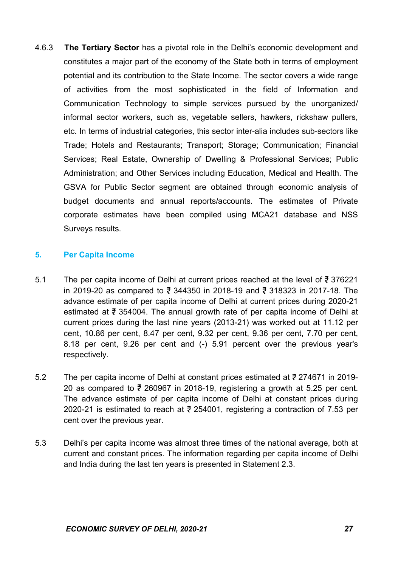4.6.3 The Tertiary Sector has a pivotal role in the Delhi's economic development and constitutes a major part of the economy of the State both in terms of employment potential and its contribution to the State Income. The sector covers a wide range of activities from the most sophisticated in the field of Information and Communication Technology to simple services pursued by the unorganized/ informal sector workers, such as, vegetable sellers, hawkers, rickshaw pullers, etc. In terms of industrial categories, this sector inter-alia includes sub-sectors like Trade; Hotels and Restaurants; Transport; Storage; Communication; Financial Services; Real Estate, Ownership of Dwelling & Professional Services; Public Administration; and Other Services including Education, Medical and Health. The GSVA for Public Sector segment are obtained through economic analysis of budget documents and annual reports/accounts. The estimates of Private corporate estimates have been compiled using MCA21 database and NSS Surveys results.

## 5. Per Capita Income

- 5.1 The per capita income of Delhi at current prices reached at the level of  $\overline{5}$  376221 in 2019-20 as compared to  $\frac{3}{5}$  344350 in 2018-19 and  $\frac{3}{5}$  318323 in 2017-18. The advance estimate of per capita income of Delhi at current prices during 2020-21 estimated at  $\overline{z}$  354004. The annual growth rate of per capita income of Delhi at current prices during the last nine years (2013-21) was worked out at 11.12 per cent, 10.86 per cent, 8.47 per cent, 9.32 per cent, 9.36 per cent, 7.70 per cent, 8.18 per cent, 9.26 per cent and (-) 5.91 percent over the previous year's respectively.
- 5.2 The per capita income of Delhi at constant prices estimated at  $\frac{3}{5}$  274671 in 2019-20 as compared to  $\overline{z}$  260967 in 2018-19, registering a growth at 5.25 per cent. The advance estimate of per capita income of Delhi at constant prices during 2020-21 is estimated to reach at  $\overline{z}$  254001, registering a contraction of 7.53 per cent over the previous year.
- 5.3 Delhi's per capita income was almost three times of the national average, both at current and constant prices. The information regarding per capita income of Delhi and India during the last ten years is presented in Statement 2.3.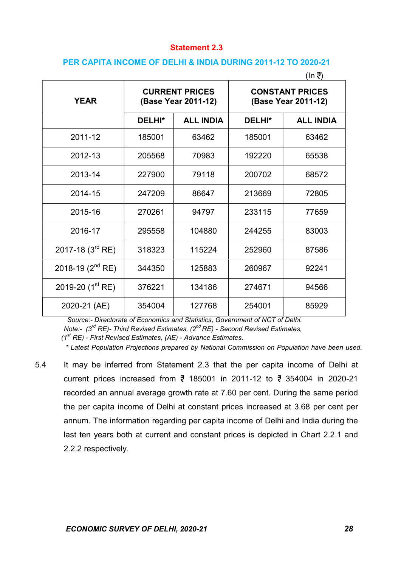#### Statement 2.3

#### PER CAPITA INCOME OF DELHI & INDIA DURING 2011-12 TO 2020-21

| (In ₹)                    |        |                                              |                                               |                  |  |
|---------------------------|--------|----------------------------------------------|-----------------------------------------------|------------------|--|
| <b>YEAR</b>               |        | <b>CURRENT PRICES</b><br>(Base Year 2011-12) | <b>CONSTANT PRICES</b><br>(Base Year 2011-12) |                  |  |
|                           | DELHI* | <b>ALL INDIA</b>                             | DELHI*                                        | <b>ALL INDIA</b> |  |
| 2011-12                   | 185001 | 63462                                        | 185001                                        | 63462            |  |
| 2012-13                   | 205568 | 70983                                        | 192220                                        | 65538            |  |
| 2013-14                   | 227900 |                                              | 200702                                        | 68572            |  |
| 2014-15                   | 247209 | 86647                                        | 213669                                        | 72805            |  |
| 2015-16                   | 270261 |                                              | 233115                                        | 77659            |  |
| 2016-17                   | 295558 | 104880                                       | 244255                                        | 83003            |  |
| 2017-18 $(3^{rd}$ RE)     | 318323 | 115224                                       | 252960                                        | 87586            |  |
| 2018-19 $(2^{nd}$ RE)     | 344350 | 125883                                       | 260967                                        | 92241            |  |
| 2019-20 $(1^{\rm st}$ RE) | 376221 | 134186                                       | 274671                                        | 94566            |  |
| 2020-21 (AE)              | 354004 | 127768                                       | 254001                                        | 85929            |  |

Source:- Directorate of Economics and Statistics, Government of NCT of Delhi.

Note:-  $(3<sup>rd</sup> RE)$ - Third Revised Estimates,  $(2<sup>nd</sup> RE)$  - Second Revised Estimates,

 $(1<sup>st</sup> RE)$  - First Revised Estimates,  $(AE)$  - Advance Estimates.

\* Latest Population Projections prepared by National Commission on Population have been used.

5.4 It may be inferred from Statement 2.3 that the per capita income of Delhi at current prices increased from  $\bar{z}$  185001 in 2011-12 to  $\bar{z}$  354004 in 2020-21 recorded an annual average growth rate at 7.60 per cent. During the same period the per capita income of Delhi at constant prices increased at 3.68 per cent per annum. The information regarding per capita income of Delhi and India during the last ten years both at current and constant prices is depicted in Chart 2.2.1 and 2.2.2 respectively.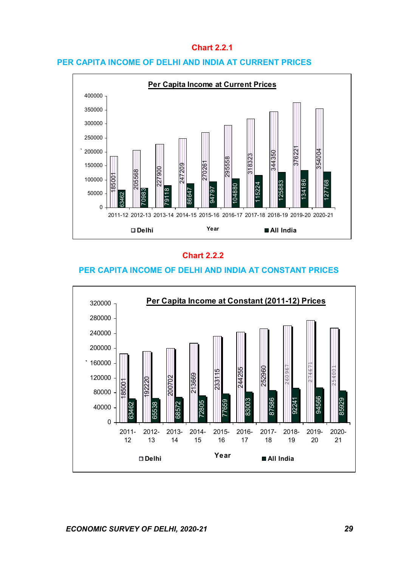## Chart 2.2.1

#### PER CAPITA INCOME OF DELHI AND INDIA AT CURRENT PRICES



## Chart 2.2.2

### PER CAPITA INCOME OF DELHI AND INDIA AT CONSTANT PRICES

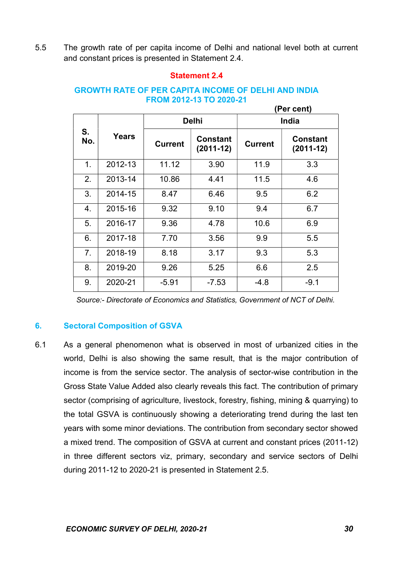5.5 The growth rate of per capita income of Delhi and national level both at current and constant prices is presented in Statement 2.4.

## Statement 2.4

|           | (Per cent)   |                |                                |                |                                |  |  |
|-----------|--------------|----------------|--------------------------------|----------------|--------------------------------|--|--|
| S.<br>No. | <b>Years</b> |                | <b>Delhi</b>                   | India          |                                |  |  |
|           |              | <b>Current</b> | <b>Constant</b><br>$(2011-12)$ | <b>Current</b> | <b>Constant</b><br>$(2011-12)$ |  |  |
| 1.        | 2012-13      | 11.12          | 3.90                           | 11.9           | 3.3                            |  |  |
| 2.        | 2013-14      | 10.86          | 4.41                           | 11.5           | 4.6                            |  |  |
| 3.        | 2014-15      | 8.47           | 6.46                           | 9.5            | 6.2                            |  |  |
| 4.        | 2015-16      | 9.32           | 9.10                           | 9.4            | 6.7                            |  |  |
| 5.        | 2016-17      | 9.36           | 4.78                           | 10.6           | 6.9                            |  |  |
| 6.        | 2017-18      | 7.70           | 3.56                           | 9.9            | 5.5                            |  |  |
| 7.        | 2018-19      | 8.18           | 3.17                           | 9.3            | 5.3                            |  |  |
| 8.        | 2019-20      | 9.26           | 5.25                           | 6.6            | 2.5                            |  |  |
| 9.        | 2020-21      | $-5.91$        | $-7.53$                        | -4.8           | $-9.1$                         |  |  |

## GROWTH RATE OF PER CAPITA INCOME OF DELHI AND INDIA FROM 2012-13 TO 2020-21

Source:- Directorate of Economics and Statistics, Government of NCT of Delhi.

# 6. Sectoral Composition of GSVA

6.1 As a general phenomenon what is observed in most of urbanized cities in the world, Delhi is also showing the same result, that is the major contribution of income is from the service sector. The analysis of sector-wise contribution in the Gross State Value Added also clearly reveals this fact. The contribution of primary sector (comprising of agriculture, livestock, forestry, fishing, mining & quarrying) to the total GSVA is continuously showing a deteriorating trend during the last ten years with some minor deviations. The contribution from secondary sector showed a mixed trend. The composition of GSVA at current and constant prices (2011-12) in three different sectors viz, primary, secondary and service sectors of Delhi during 2011-12 to 2020-21 is presented in Statement 2.5.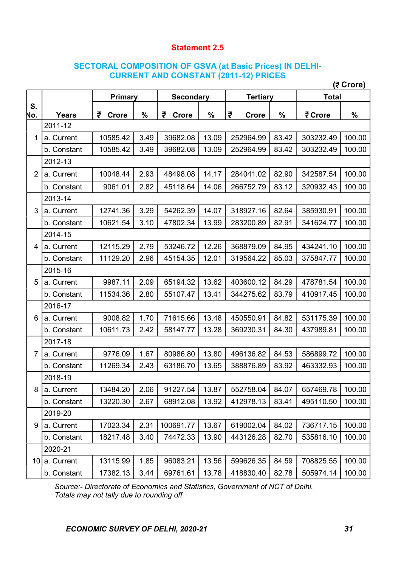## Statement 2.5

## SECTORAL COMPOSITION OF GSVA (at Basic Prices) IN DELHI-CURRENT AND CONSTANT (2011-12) PRICES

|                | (? Crore)     |                   |      |                                     |       |                   |              |           |               |
|----------------|---------------|-------------------|------|-------------------------------------|-------|-------------------|--------------|-----------|---------------|
|                |               | Primary           |      | <b>Secondary</b><br><b>Tertiary</b> |       |                   | <b>Total</b> |           |               |
| S.<br>No.      | <b>Years</b>  | ₹<br><b>Crore</b> | $\%$ | ₹<br><b>Crore</b>                   | $\%$  | ₹<br><b>Crore</b> | $\%$         | ₹ Crore   | $\frac{9}{6}$ |
|                | 2011-12       |                   |      |                                     |       |                   |              |           |               |
| 1              | a. Current    | 10585.42          | 3.49 | 39682.08                            | 13.09 | 252964.99         | 83.42        | 303232.49 | 100.00        |
|                | b. Constant   | 10585.42          | 3.49 | 39682.08                            | 13.09 | 252964.99         | 83.42        | 303232.49 | 100.00        |
| $\overline{2}$ | 2012-13       |                   |      |                                     |       |                   |              |           |               |
|                | a. Current    | 10048.44          | 2.93 | 48498.08                            | 14.17 | 284041.02         | 82.90        | 342587.54 | 100.00        |
|                | b. Constant   | 9061.01           | 2.82 | 45118.64                            | 14.06 | 266752.79         | 83.12        | 320932.43 | 100.00        |
|                | 2013-14       |                   |      |                                     |       |                   |              |           |               |
| 3              | a. Current    | 12741.36          | 3.29 | 54262.39                            | 14.07 | 318927.16         | 82.64        | 385930.91 | 100.00        |
|                | b. Constant   | 10621.54          | 3.10 | 47802.34                            | 13.99 | 283200.89         | 82.91        | 341624.77 | 100.00        |
|                | 2014-15       |                   |      |                                     |       |                   |              |           |               |
| 4              | a. Current    | 12115.29          | 2.79 | 53246.72                            | 12.26 | 368879.09         | 84.95        | 434241.10 | 100.00        |
|                | b. Constant   | 11129.20          | 2.96 | 45154.35                            | 12.01 | 319564.22         | 85.03        | 375847.77 | 100.00        |
|                | 2015-16       |                   |      |                                     |       |                   |              |           |               |
| 5              | a. Current    | 9987.11           | 2.09 | 65194.32                            | 13.62 | 403600.12         | 84.29        | 478781.54 | 100.00        |
|                | b. Constant   | 11534.36          | 2.80 | 55107.47                            | 13.41 | 344275.62         | 83.79        | 410917.45 | 100.00        |
|                | 2016-17       |                   |      |                                     |       |                   |              |           |               |
| 6              | a. Current    | 9008.82           | 1.70 | 71615.66                            | 13.48 | 450550.91         | 84.82        | 531175.39 | 100.00        |
|                | b. Constant   | 10611.73          | 2.42 | 58147.77                            | 13.28 | 369230.31         | 84.30        | 437989.81 | 100.00        |
|                | 2017-18       |                   |      |                                     |       |                   |              |           |               |
| $\overline{7}$ | a. Current    | 9776.09           | 1.67 | 80986.80                            | 13.80 | 496136.82         | 84.53        | 586899.72 | 100.00        |
|                | b. Constant   | 11269.34          | 2.43 | 63186.70                            | 13.65 | 388876.89         | 83.92        | 463332.93 | 100.00        |
|                | 2018-19       |                   |      |                                     |       |                   |              |           |               |
| 8              | a. Current    | 13484.20          | 2.06 | 91227.54                            | 13.87 | 552758.04         | 84.07        | 657469.78 | 100.00        |
|                | b. Constant   | 13220.30          | 2.67 | 68912.08                            | 13.92 | 412978.13         | 83.41        | 495110.50 | 100.00        |
|                | 2019-20       |                   |      |                                     |       |                   |              |           |               |
| 9              | a. Current    | 17023.34          | 2.31 | 100691.77                           | 13.67 | 619002.04         | 84.02        | 736717.15 | 100.00        |
|                | b. Constant   | 18217.48          | 3.40 | 74472.33                            | 13.90 | 443126.28         | 82.70        | 535816.10 | 100.00        |
|                | 2020-21       |                   |      |                                     |       |                   |              |           |               |
|                | 10 a. Current | 13115.99          | 1.85 | 96083.21                            | 13.56 | 599626.35         | 84.59        | 708825.55 | 100.00        |
|                | b. Constant   | 17382.13          | 3.44 | 69761.61                            | 13.78 | 418830.40         | 82.78        | 505974.14 | 100.00        |

Source:- Directorate of Economics and Statistics, Government of NCT of Delhi. Totals may not tally due to rounding off.